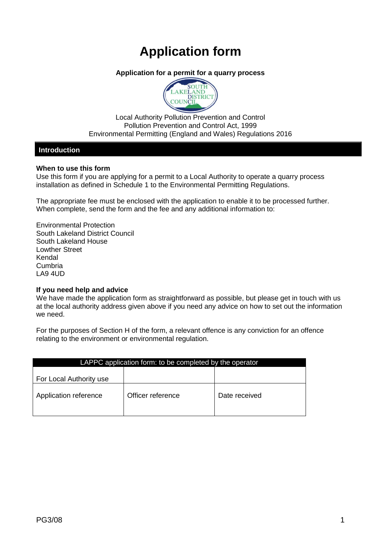# **Application form**

# **Application for a permit for a quarry process**



Local Authority Pollution Prevention and Control Pollution Prevention and Control Act, 1999 Environmental Permitting (England and Wales) Regulations 2016

## **Introduction**

#### **When to use this form**

Use this form if you are applying for a permit to a Local Authority to operate a quarry process installation as defined in Schedule 1 to the Environmental Permitting Regulations.

The appropriate fee must be enclosed with the application to enable it to be processed further. When complete, send the form and the fee and any additional information to:

Environmental Protection South Lakeland District Council South Lakeland House Lowther Street Kendal Cumbria LA9 4UD

## **If you need help and advice**

We have made the application form as straightforward as possible, but please get in touch with us at the local authority address given above if you need any advice on how to set out the information we need.

For the purposes of Section H of the form, a relevant offence is any conviction for an offence relating to the environment or environmental regulation.

| LAPPC application form: to be completed by the operator |               |  |  |  |
|---------------------------------------------------------|---------------|--|--|--|
|                                                         |               |  |  |  |
|                                                         |               |  |  |  |
| Officer reference                                       | Date received |  |  |  |
|                                                         |               |  |  |  |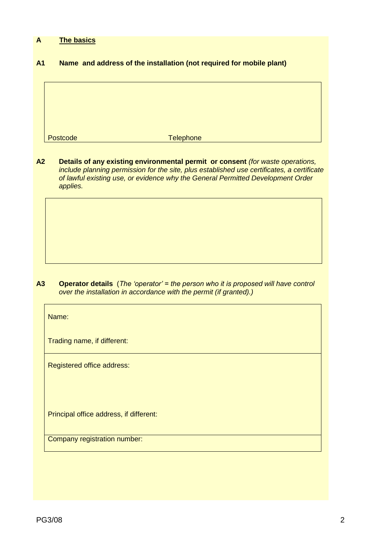# **A The basics**

## **A1 Name and address of the installation (not required for mobile plant)**

Postcode Telephone

**A2 Details of any existing environmental permit or consent** *(for waste operations, include planning permission for the site, plus established use certificates, a certificate of lawful existing use, or evidence why the General Permitted Development Order applies.*

**A3 Operator details** (*The 'operator' = the person who it is proposed will have control over the installation in accordance with the permit (if granted).)*

Name:

Trading name, if different:

Registered office address:

Principal office address, if different:

Company registration number: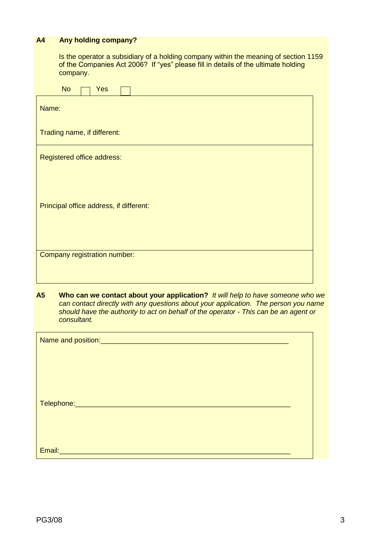# **A4 Any holding company?**

Is the operator a subsidiary of a holding company within the meaning of section 1159 of the Companies Act 2006? If "yes" please fill in details of the ultimate holding company.

| <b>No</b><br><b>Yes</b>                 |  |  |  |  |  |
|-----------------------------------------|--|--|--|--|--|
| Name:                                   |  |  |  |  |  |
| Trading name, if different:             |  |  |  |  |  |
| Registered office address:              |  |  |  |  |  |
|                                         |  |  |  |  |  |
| Principal office address, if different: |  |  |  |  |  |
|                                         |  |  |  |  |  |
| Company registration number:            |  |  |  |  |  |
|                                         |  |  |  |  |  |
|                                         |  |  |  |  |  |

**A5 Who can we contact about your application?** *It will help to have someone who we can contact directly with any questions about your application. The person you name should have the authority to act on behalf of the operator - This can be an agent or consultant.*

| Name and position:<br><u>Name</u> and position: |  |
|-------------------------------------------------|--|
|                                                 |  |
|                                                 |  |
|                                                 |  |
|                                                 |  |
| Telephone: ________________________________     |  |
|                                                 |  |
|                                                 |  |
| Email:                                          |  |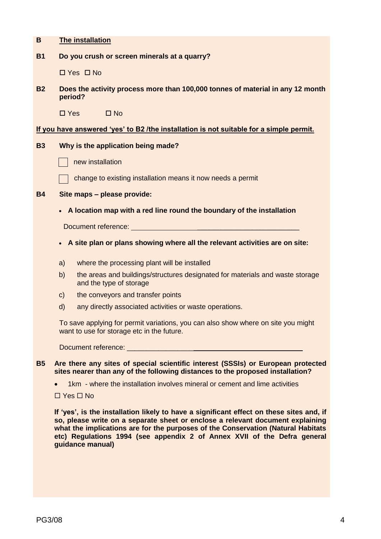| B         | The installation                                                                                                                                                                                                                     |  |  |
|-----------|--------------------------------------------------------------------------------------------------------------------------------------------------------------------------------------------------------------------------------------|--|--|
| <b>B1</b> | Do you crush or screen minerals at a quarry?                                                                                                                                                                                         |  |  |
|           | $\Box$ Yes $\Box$ No                                                                                                                                                                                                                 |  |  |
| <b>B2</b> | Does the activity process more than 100,000 tonnes of material in any 12 month<br>period?                                                                                                                                            |  |  |
|           | $\square$ No<br>$\square$ Yes                                                                                                                                                                                                        |  |  |
|           | If you have answered 'yes' to B2 /the installation is not suitable for a simple permit.                                                                                                                                              |  |  |
| <b>B3</b> | Why is the application being made?                                                                                                                                                                                                   |  |  |
|           | new installation                                                                                                                                                                                                                     |  |  |
|           | change to existing installation means it now needs a permit                                                                                                                                                                          |  |  |
| <b>B4</b> | Site maps - please provide:                                                                                                                                                                                                          |  |  |
|           | A location map with a red line round the boundary of the installation                                                                                                                                                                |  |  |
|           | Document reference: <u>with the contract of the contract of the contract of the contract of the contract of the contract of the contract of the contract of the contract of the contract of the contract of the contract of the </u> |  |  |
|           | A site plan or plans showing where all the relevant activities are on site:<br>$\bullet$                                                                                                                                             |  |  |
|           | where the processing plant will be installed<br>a)                                                                                                                                                                                   |  |  |
|           | the areas and buildings/structures designated for materials and waste storage<br>b)<br>and the type of storage                                                                                                                       |  |  |
|           | the conveyors and transfer points<br>$\mathsf{C}$                                                                                                                                                                                    |  |  |
|           | any directly associated activities or waste operations.<br>$\mathsf{d}$                                                                                                                                                              |  |  |
|           | To save applying for permit variations, you can also show where on site you might<br>want to use for storage etc in the future.                                                                                                      |  |  |
|           |                                                                                                                                                                                                                                      |  |  |
| <b>B5</b> | Are there any sites of special scientific interest (SSSIs) or European protected<br>sites nearer than any of the following distances to the proposed installation?                                                                   |  |  |
|           | 1km - where the installation involves mineral or cement and lime activities                                                                                                                                                          |  |  |
|           | $\Box$ Yes $\Box$ No                                                                                                                                                                                                                 |  |  |
|           | If 'yes', is the installation likely to have a significant effect on these sites and, if                                                                                                                                             |  |  |

**If 'yes', is the installation likely to have a significant effect on these sites and, if so, please write on a separate sheet or enclose a relevant document explaining what the implications are for the purposes of the Conservation (Natural Habitats etc) Regulations 1994 (see appendix 2 of Annex XVII of the Defra general guidance manual)**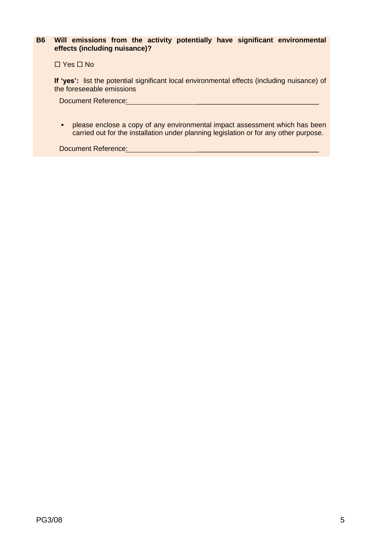# **B6 Will emissions from the activity potentially have significant environmental effects (including nuisance)?**

 $\Box$  Yes  $\Box$  No

**If 'yes':** list the potential significant local environmental effects (including nuisance) of the foreseeable emissions

Document Reference:

**•** please enclose a copy of any environmental impact assessment which has been carried out for the installation under planning legislation or for any other purpose.

Document Reference: \_\_\_\_\_\_\_\_\_\_\_\_\_\_\_\_\_\_\_\_\_\_\_\_\_\_\_\_\_\_\_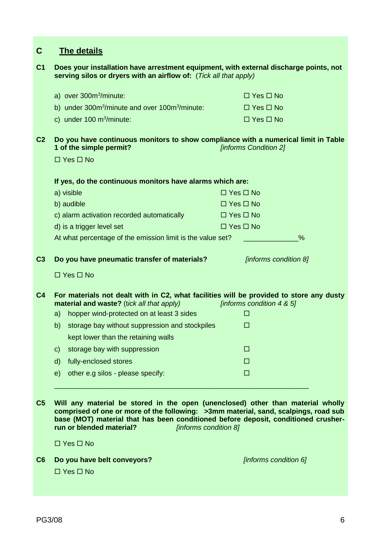| $\mathbf C$    |              | <b>The details</b>                                                                                                                                                                                                                                                                                                |                      |                           |
|----------------|--------------|-------------------------------------------------------------------------------------------------------------------------------------------------------------------------------------------------------------------------------------------------------------------------------------------------------------------|----------------------|---------------------------|
| C <sub>1</sub> |              | Does your installation have arrestment equipment, with external discharge points, not<br>serving silos or dryers with an airflow of: (Tick all that apply)                                                                                                                                                        |                      |                           |
|                |              | a) over 300m <sup>3</sup> /minute:                                                                                                                                                                                                                                                                                |                      | $\Box$ Yes $\Box$ No      |
|                |              | b) under 300m <sup>3</sup> /minute and over 100m <sup>3</sup> /minute:                                                                                                                                                                                                                                            |                      | $\Box$ Yes $\Box$ No      |
|                |              | c) under $100 \text{ m}^3/\text{minute}$ :                                                                                                                                                                                                                                                                        |                      | $\Box$ Yes $\Box$ No      |
| C <sub>2</sub> |              | Do you have continuous monitors to show compliance with a numerical limit in Table<br>1 of the simple permit?                                                                                                                                                                                                     |                      | [informs Condition 2]     |
|                |              | $\Box$ Yes $\Box$ No                                                                                                                                                                                                                                                                                              |                      |                           |
|                |              | If yes, do the continuous monitors have alarms which are:                                                                                                                                                                                                                                                         |                      |                           |
|                |              | a) visible                                                                                                                                                                                                                                                                                                        | $\Box$ Yes $\Box$ No |                           |
|                |              | b) audible                                                                                                                                                                                                                                                                                                        | $\Box$ Yes $\Box$ No |                           |
|                |              | c) alarm activation recorded automatically                                                                                                                                                                                                                                                                        | $\Box$ Yes $\Box$ No |                           |
|                |              | d) is a trigger level set                                                                                                                                                                                                                                                                                         | $\Box$ Yes $\Box$ No |                           |
|                |              | At what percentage of the emission limit is the value set?                                                                                                                                                                                                                                                        |                      | %                         |
| C <sub>3</sub> |              | Do you have pneumatic transfer of materials?                                                                                                                                                                                                                                                                      |                      | [informs condition 8]     |
|                |              | $\Box$ Yes $\Box$ No                                                                                                                                                                                                                                                                                              |                      |                           |
| C <sub>4</sub> |              | For materials not dealt with in C2, what facilities will be provided to store any dusty<br>material and waste? (tick all that apply)                                                                                                                                                                              |                      | [informs condition 4 & 5] |
|                |              | a) hopper wind-protected on at least 3 sides                                                                                                                                                                                                                                                                      |                      | <b>COL</b>                |
|                |              | b) storage bay without suppression and stockpiles                                                                                                                                                                                                                                                                 |                      | $\Box$                    |
|                |              | kept lower than the retaining walls                                                                                                                                                                                                                                                                               |                      |                           |
|                | $\mathsf{C}$ | storage bay with suppression                                                                                                                                                                                                                                                                                      |                      | □                         |
|                | $\mathsf{d}$ | fully-enclosed stores                                                                                                                                                                                                                                                                                             |                      | □                         |
|                |              | e) other e.g silos - please specify:                                                                                                                                                                                                                                                                              |                      | $\Box$                    |
|                |              |                                                                                                                                                                                                                                                                                                                   |                      |                           |
| C <sub>5</sub> |              | Will any material be stored in the open (unenclosed) other than material wholly<br>comprised of one or more of the following: >3mm material, sand, scalpings, road sub<br>base (MOT) material that has been conditioned before deposit, conditioned crusher-<br>run or blended material?<br>[informs condition 8] |                      |                           |
|                |              | $\Box$ Yes $\Box$ No                                                                                                                                                                                                                                                                                              |                      |                           |
|                |              |                                                                                                                                                                                                                                                                                                                   |                      |                           |

**C6 Do you have belt conveyors?** *[informs condition 6]*  $\Box$  Yes  $\Box$  No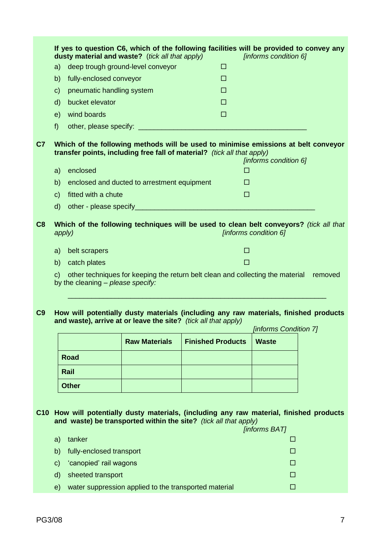|                |              |                                   | If yes to question C6, which of the following facilities will be provided to convey any<br>dusty material and waste? (tick all that apply)                    |                          |            | [informs condition 6] |         |
|----------------|--------------|-----------------------------------|---------------------------------------------------------------------------------------------------------------------------------------------------------------|--------------------------|------------|-----------------------|---------|
|                | a)           |                                   | deep trough ground-level conveyor                                                                                                                             | □                        |            |                       |         |
|                | b)           | fully-enclosed conveyor           |                                                                                                                                                               | □                        |            |                       |         |
|                | $\mathsf{C}$ | pneumatic handling system         |                                                                                                                                                               | □                        |            |                       |         |
|                | $\mathsf{d}$ | bucket elevator                   |                                                                                                                                                               | □                        |            |                       |         |
|                | e)           | wind boards                       |                                                                                                                                                               | П                        |            |                       |         |
|                | f)           |                                   |                                                                                                                                                               |                          |            |                       |         |
| C <sub>7</sub> |              |                                   | Which of the following methods will be used to minimise emissions at belt conveyor<br>transfer points, including free fall of material? (tick all that apply) |                          |            | [informs condition 6] |         |
|                | a)           | enclosed                          |                                                                                                                                                               |                          | □          |                       |         |
|                | b)           |                                   | enclosed and ducted to arrestment equipment                                                                                                                   |                          | <b>COL</b> |                       |         |
|                | $\mathsf{C}$ | fitted with a chute               |                                                                                                                                                               |                          | $\Box$     |                       |         |
|                | $\mathsf{d}$ |                                   |                                                                                                                                                               |                          |            |                       |         |
| C8             |              | apply)                            | Which of the following techniques will be used to clean belt conveyors? (tick all that                                                                        |                          |            | [informs condition 6] |         |
|                | a)           | belt scrapers                     |                                                                                                                                                               |                          | □          |                       |         |
|                | b)           | catch plates                      |                                                                                                                                                               |                          | П          |                       |         |
|                | $\mathsf{C}$ | by the cleaning - please specify: | other techniques for keeping the return belt clean and collecting the material                                                                                |                          |            |                       | removed |
| C9             |              |                                   | How will potentially dusty materials (including any raw materials, finished products<br>and waste), arrive at or leave the site? (tick all that apply)        |                          |            | [informs Condition 7] |         |
|                |              |                                   | <b>Raw Materials</b>                                                                                                                                          | <b>Finished Products</b> |            | <b>Waste</b>          |         |
|                |              | <b>Road</b>                       |                                                                                                                                                               |                          |            |                       |         |
|                |              | Rail                              |                                                                                                                                                               |                          |            |                       |         |
|                |              | <b>Other</b>                      |                                                                                                                                                               |                          |            |                       |         |
| C10            |              |                                   | How will potentially dusty materials, (including any raw material, finished products<br>and waste) be transported within the site? (tick all that apply)      |                          |            | <b>[informs BAT]</b>  |         |
|                | a)           | tanker                            |                                                                                                                                                               |                          |            | □                     |         |
|                | b)           | fully-enclosed transport          |                                                                                                                                                               |                          |            | П                     |         |
|                | $\mathsf{C}$ | 'canopied' rail wagons            |                                                                                                                                                               |                          |            | П                     |         |
|                | $\mathsf{d}$ | sheeted transport                 |                                                                                                                                                               |                          |            | $\Box$                |         |
|                | e)           |                                   | water suppression applied to the transported material                                                                                                         |                          |            | □                     |         |
|                |              |                                   |                                                                                                                                                               |                          |            |                       |         |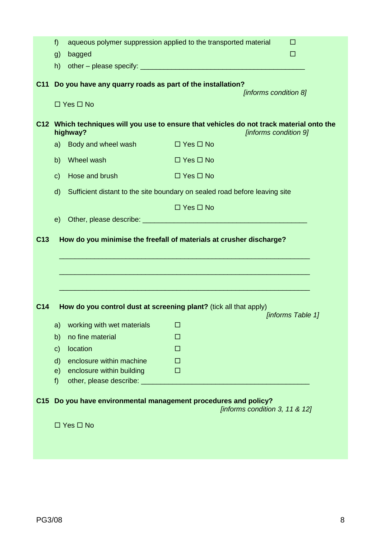|                 | f)           |                                                                                                                                                                                                                                | aqueous polymer suppression applied to the transported material                                                   | □                 |
|-----------------|--------------|--------------------------------------------------------------------------------------------------------------------------------------------------------------------------------------------------------------------------------|-------------------------------------------------------------------------------------------------------------------|-------------------|
|                 | g)           | bagged                                                                                                                                                                                                                         |                                                                                                                   | □                 |
|                 | h)           |                                                                                                                                                                                                                                |                                                                                                                   |                   |
| C <sub>11</sub> |              | Do you have any quarry roads as part of the installation?<br>$\Box$ Yes $\Box$ No                                                                                                                                              | [informs condition 8]                                                                                             |                   |
|                 |              |                                                                                                                                                                                                                                |                                                                                                                   |                   |
|                 |              | highway?                                                                                                                                                                                                                       | C12 Which techniques will you use to ensure that vehicles do not track material onto the<br>[informs condition 9] |                   |
|                 | a)           | Body and wheel wash                                                                                                                                                                                                            | $\Box$ Yes $\Box$ No                                                                                              |                   |
|                 | b)           | Wheel wash                                                                                                                                                                                                                     | $\Box$ Yes $\Box$ No                                                                                              |                   |
|                 | $\mathbf{C}$ | Hose and brush                                                                                                                                                                                                                 | $\Box$ Yes $\Box$ No                                                                                              |                   |
|                 | d)           |                                                                                                                                                                                                                                | Sufficient distant to the site boundary on sealed road before leaving site                                        |                   |
|                 |              |                                                                                                                                                                                                                                | $\Box$ Yes $\Box$ No                                                                                              |                   |
|                 | e)           |                                                                                                                                                                                                                                |                                                                                                                   |                   |
| C <sub>13</sub> |              |                                                                                                                                                                                                                                | How do you minimise the freefall of materials at crusher discharge?                                               |                   |
|                 |              |                                                                                                                                                                                                                                |                                                                                                                   |                   |
|                 |              |                                                                                                                                                                                                                                |                                                                                                                   |                   |
|                 |              |                                                                                                                                                                                                                                |                                                                                                                   |                   |
|                 |              |                                                                                                                                                                                                                                |                                                                                                                   |                   |
| C <sub>14</sub> |              |                                                                                                                                                                                                                                | How do you control dust at screening plant? (tick all that apply)                                                 |                   |
|                 |              | a) working with wet materials and the state of the state of the state of the state of the state of the state of the state of the state of the state of the state of the state of the state of the state of the state of the st |                                                                                                                   | [informs Table 1] |
|                 | b)           | no fine material                                                                                                                                                                                                               | □                                                                                                                 |                   |
|                 | $\mathbf{C}$ | location                                                                                                                                                                                                                       | □                                                                                                                 |                   |
|                 | $\mathsf{d}$ | enclosure within machine                                                                                                                                                                                                       | $\Box$                                                                                                            |                   |
|                 | e)           | enclosure within building                                                                                                                                                                                                      | □                                                                                                                 |                   |
|                 | f)           | other, please describe: ____________                                                                                                                                                                                           |                                                                                                                   |                   |
| C <sub>15</sub> |              |                                                                                                                                                                                                                                | Do you have environmental management procedures and policy?<br>[informs condition 3, 11 & 12]                     |                   |
|                 |              | $\Box$ Yes $\Box$ No                                                                                                                                                                                                           |                                                                                                                   |                   |
|                 |              |                                                                                                                                                                                                                                |                                                                                                                   |                   |
|                 |              |                                                                                                                                                                                                                                |                                                                                                                   |                   |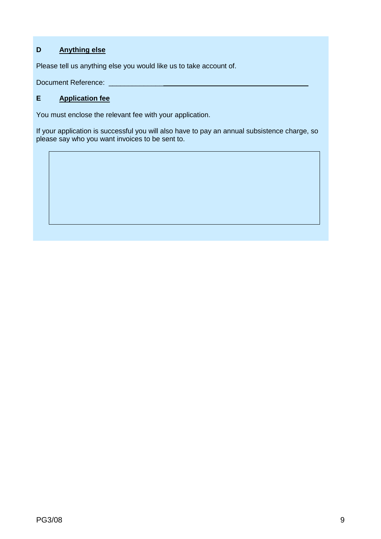# **D Anything else**

Please tell us anything else you would like us to take account of.

Document Reference: \_\_\_\_\_\_\_\_\_\_\_\_\_\_\_\_\_\_\_\_\_\_\_\_\_\_\_\_\_\_\_\_\_\_\_\_\_\_\_\_\_\_\_\_\_\_\_\_\_\_\_

# **E Application fee**

You must enclose the relevant fee with your application.

If your application is successful you will also have to pay an annual subsistence charge, so please say who you want invoices to be sent to.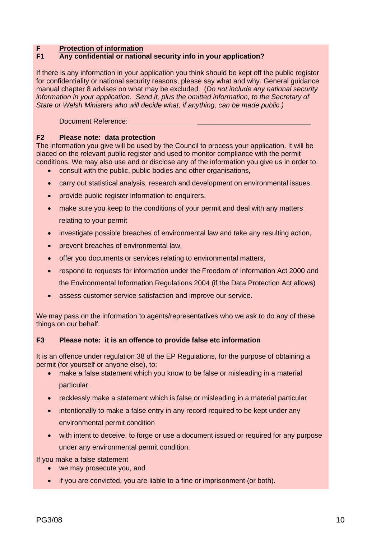## **F Protection of information**

## **F1 Any confidential or national security info in your application?**

If there is any information in your application you think should be kept off the public register for confidentiality or national security reasons, please say what and why. General guidance manual chapter 8 advises on what may be excluded. (*Do not include any national security information in your application. Send it, plus the omitted information, to the Secretary of State or Welsh Ministers who will decide what, if anything, can be made public.)*

Document Reference:

## **F2 Please note: data protection**

The information you give will be used by the Council to process your application. It will be placed on the relevant public register and used to monitor compliance with the permit conditions. We may also use and or disclose any of the information you give us in order to:

- consult with the public, public bodies and other organisations,
- carry out statistical analysis, research and development on environmental issues,
- provide public register information to enquirers,
- make sure you keep to the conditions of your permit and deal with any matters relating to your permit
- investigate possible breaches of environmental law and take any resulting action,
- prevent breaches of environmental law,
- offer you documents or services relating to environmental matters,
- respond to requests for information under the Freedom of Information Act 2000 and the Environmental Information Regulations 2004 (if the Data Protection Act allows)
- assess customer service satisfaction and improve our service.

We may pass on the information to agents/representatives who we ask to do any of these things on our behalf.

#### **F3 Please note: it is an offence to provide false etc information**

It is an offence under regulation 38 of the EP Regulations, for the purpose of obtaining a permit (for yourself or anyone else), to:

- make a false statement which you know to be false or misleading in a material particular,
- recklessly make a statement which is false or misleading in a material particular
- intentionally to make a false entry in any record required to be kept under any environmental permit condition
- with intent to deceive, to forge or use a document issued or required for any purpose under any environmental permit condition.

If you make a false statement

- we may prosecute you, and
- if you are convicted, you are liable to a fine or imprisonment (or both).